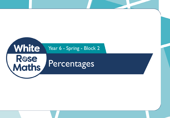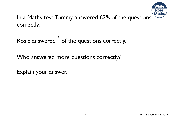

In a Maths test, Tommy answered 62% of the questions correctly.

Rosie answered  $\frac{3}{5}$ 5 of the questions correctly.

Who answered more questions correctly?

Explain your answer.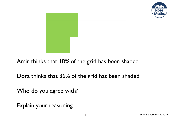



Amir thinks that 18% of the grid has been shaded.

Dora thinks that 36% of the grid has been shaded.

Who do you agree with?

Explain your reasoning.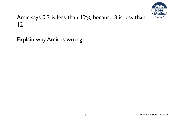

## Amir says 0.3 is less than 12% because 3 is less than 12

Explain why Amir is wrong.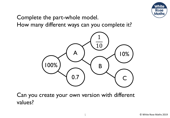

Complete the part-whole model. How many different ways can you complete it?



Can you create your own version with different values?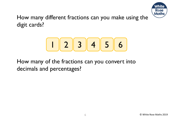

How many different fractions can you make using the digit cards?

$$
\begin{array}{|c|c|}\hline 2 & 3 & 4 & 5 & 6 \\\hline \end{array}
$$

How many of the fractions can you convert into decimals and percentages?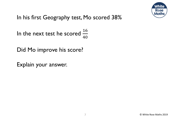

## In his first Geography test, Mo scored 38%

In the next test he scored  $\frac{16}{40}$ 40

Did Mo improve his score?

Explain your answer.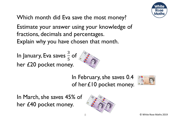

Which month did Eva save the most money?

Estimate your answer using your knowledge of fractions, decimals and percentages. Explain why you have chosen that month.

In January, Eva saves  $\frac{3}{5}$ 5 of her £20 pocket money.



In February, she saves 0.4 of her £10 pocket money.



In March, she saves 45% of her £40 pocket money.

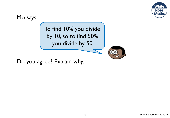

Mo says,

To find 10% you divide by 10, so to find 50% you divide by 50



Do you agree? Explain why.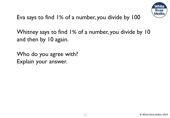

Eva says to find 1% of a number, you divide by 100

Whitney says to find 1% of a number, you divide by 10 and then by 10 again.

Who do you agree with? Explain your answer.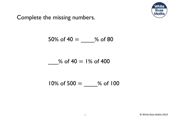

## Complete the missing numbers.

$$
50\% \text{ of } 40 = \underline{\qquad } \% \text{ of } 80
$$

$$
\frac{1}{100}
$$
 of 40 = 1% of 400

$$
10\% \text{ of } 500 = \underline{\qquad } 96 \text{ of } 100
$$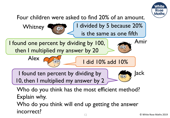

Four children were asked to find 20% of an amount. I divided by 5 because 20%

I found one percent by dividing by 100, then I multiplied my answer by 20



**Whitney** 



I did 10% add 10%

is the same as one fifth

I found ten percent by dividing by

10, then I multiplied my answer by 2

Jack QO

Amir

Who do you think has the most efficient method? Explain why.

12 © White Rose Maths 2019 Who do you think will end up getting the answer incorrect?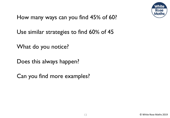

How many ways can you find 45% of 60?

Use similar strategies to find 60% of 45

What do you notice?

Does this always happen?

Can you find more examples?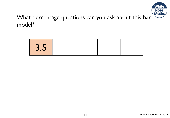

## What percentage questions can you ask about this bar model?

| <b>STATISTICS</b><br>$\overline{\mathsf{U}}\cdot\overline{\mathsf{U}}$ |  |  |
|------------------------------------------------------------------------|--|--|
|                                                                        |  |  |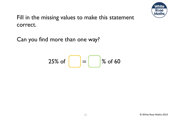

Fill in the missing values to make this statement correct.

Can you find more than one way?

$$
25\% \text{ of } \boxed{ } = \boxed{ } \% \text{ of } 60
$$